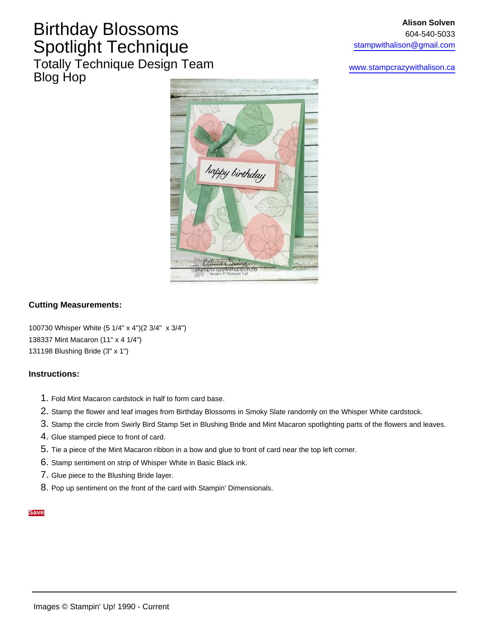### Birthday Blossoms Spotlight Technique Totally Technique Design Team Blog Hop

[www.stampcrazywithalison.ca](http://www.stampcrazywithalison.ca/)



### **Cutting Measurements:**

100730 Whisper White (5 1/4" x 4")(2 3/4" x 3/4") 138337 Mint Macaron (11" x 4 1/4") 131198 Blushing Bride (3" x 1")

#### **Instructions:**

- 1. Fold Mint Macaron cardstock in half to form card base.
- 2. Stamp the flower and leaf images from Birthday Blossoms in Smoky Slate randomly on the Whisper White cardstock.
- 3. Stamp the circle from Swirly Bird Stamp Set in Blushing Bride and Mint Macaron spotlighting parts of the flowers and leaves.
- 4. Glue stamped piece to front of card.
- 5. Tie a piece of the Mint Macaron ribbon in a bow and glue to front of card near the top left corner.
- 6. Stamp sentiment on strip of Whisper White in Basic Black ink.
- 7. Glue piece to the Blushing Bride layer.
- 8. Pop up sentiment on the front of the card with Stampin' Dimensionals.

#### **Save**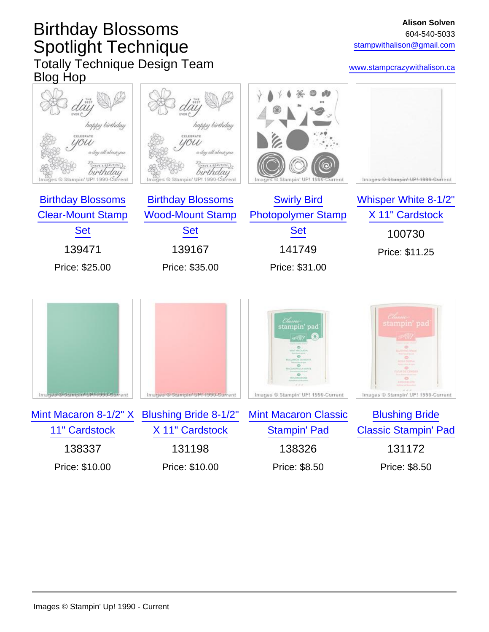# Birthday Blossoms Spotlight Technique Totally Technique Design Team Blog Hop

### [www.stampcrazywithalison.ca](http://www.stampcrazywithalison.ca/)